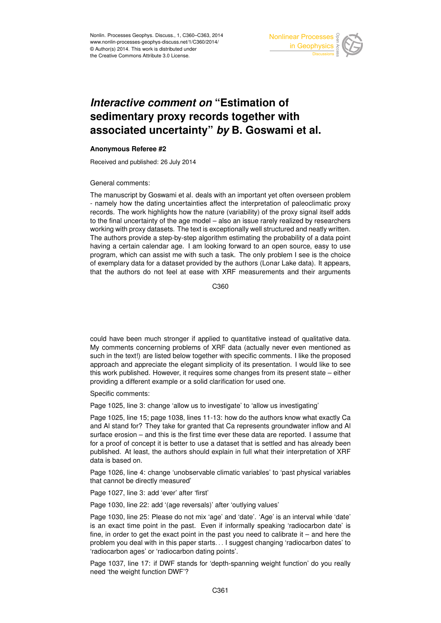

## *Interactive comment on* **"Estimation of sedimentary proxy records together with associated uncertainty"** *by* **B. Goswami et al.**

## **Anonymous Referee #2**

Received and published: 26 July 2014

General comments:

The manuscript by Goswami et al. deals with an important yet often overseen problem - namely how the dating uncertainties affect the interpretation of paleoclimatic proxy records. The work highlights how the nature (variability) of the proxy signal itself adds to the final uncertainty of the age model – also an issue rarely realized by researchers working with proxy datasets. The text is exceptionally well structured and neatly written. The authors provide a step-by-step algorithm estimating the probability of a data point having a certain calendar age. I am looking forward to an open source, easy to use program, which can assist me with such a task. The only problem I see is the choice of exemplary data for a dataset provided by the authors (Lonar Lake data). It appears, that the authors do not feel at ease with XRF measurements and their arguments

C360

could have been much stronger if applied to quantitative instead of qualitative data. My comments concerning problems of XRF data (actually never even mentioned as such in the text!) are listed below together with specific comments. I like the proposed approach and appreciate the elegant simplicity of its presentation. I would like to see this work published. However, it requires some changes from its present state – either providing a different example or a solid clarification for used one.

Specific comments:

Page 1025, line 3: change 'allow us to investigate' to 'allow us investigating'

Page 1025, line 15; page 1038, lines 11-13: how do the authors know what exactly Ca and Al stand for? They take for granted that Ca represents groundwater inflow and Al surface erosion – and this is the first time ever these data are reported. I assume that for a proof of concept it is better to use a dataset that is settled and has already been published. At least, the authors should explain in full what their interpretation of XRF data is based on.

Page 1026, line 4: change 'unobservable climatic variables' to 'past physical variables that cannot be directly measured'

Page 1027, line 3: add 'ever' after 'first'

Page 1030, line 22: add '(age reversals)' after 'outlying values'

Page 1030, line 25: Please do not mix 'age' and 'date'. 'Age' is an interval while 'date' is an exact time point in the past. Even if informally speaking 'radiocarbon date' is fine, in order to get the exact point in the past you need to calibrate it  $-$  and here the problem you deal with in this paper starts. . . I suggest changing 'radiocarbon dates' to 'radiocarbon ages' or 'radiocarbon dating points'.

Page 1037, line 17: if DWF stands for 'depth-spanning weight function' do you really need 'the weight function DWF'?